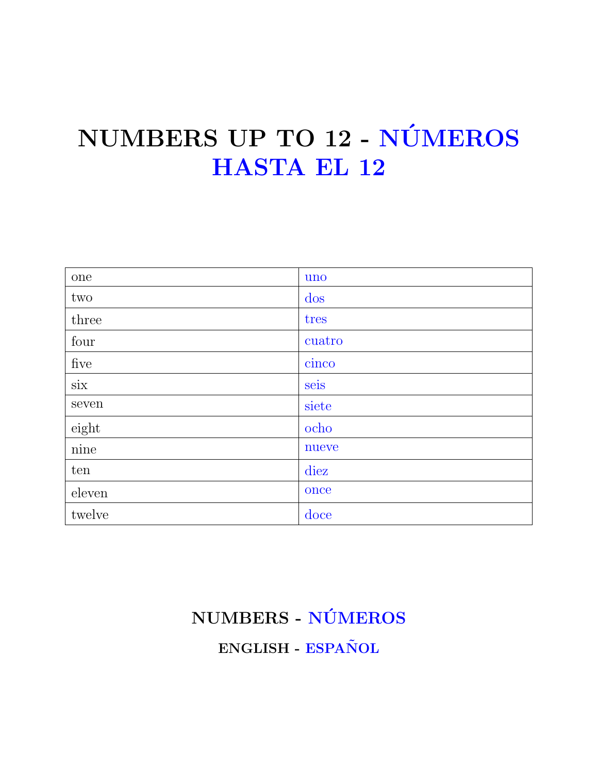## NUMBERS UP TO 12 - NÚMEROS **HASTA EL 12**

| one             | uno    |
|-----------------|--------|
| two             | dos    |
| three           | tres   |
| four            | cuatro |
| five            | cinco  |
| $\dot{\rm six}$ | seis   |
| seven           | siete  |
| eight           | ocho   |
| $\rm nine$      | nueve  |
| ten             | diez   |
| eleven          | once   |
| twelve          | doce   |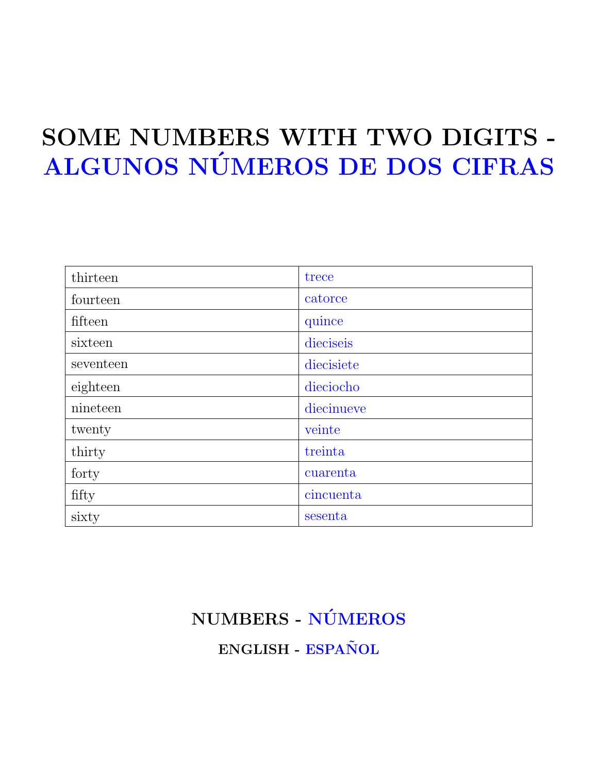## SOME NUMBERS WITH TWO DIGITS - ALGUNOS NÚMEROS DE DOS CIFRAS

| thirteen  | trece      |
|-----------|------------|
| fourteen  | catorce    |
| fifteen   | quince     |
| sixteen   | dieciseis  |
| seventeen | diecisiete |
| eighteen  | dieciocho  |
| nineteen  | diecinueve |
| twenty    | veinte     |
| thirty    | treinta    |
| forty     | cuarenta   |
| fifty     | cincuenta  |
| sixty     | sesenta    |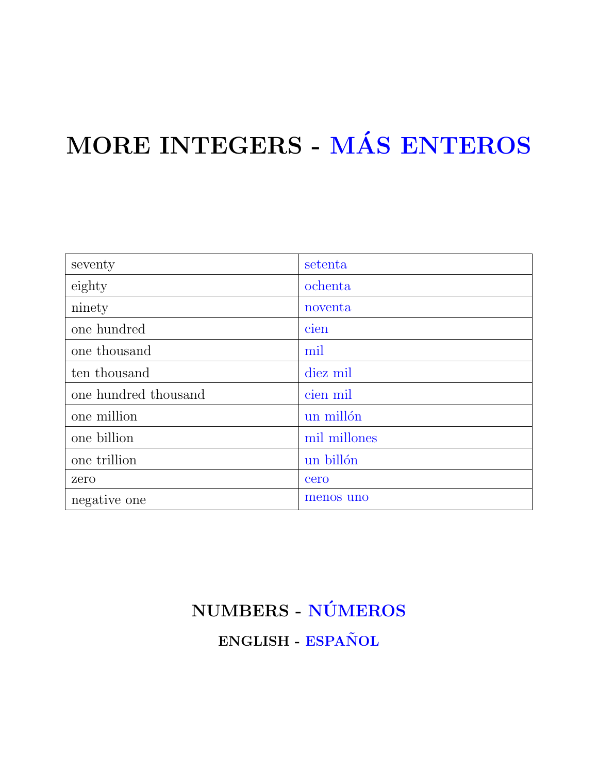# MORE INTEGERS - MÁS ENTEROS

| seventy              | setenta      |
|----------------------|--------------|
| eighty               | ochenta      |
| ninety               | noventa      |
| one hundred          | cien         |
| one thousand         | mil          |
| ten thousand         | diez mil     |
| one hundred thousand | cien mil     |
| one million          | un millón    |
| one billion          | mil millones |
| one trillion         | un billón    |
| zero                 | cero         |
| negative one         | menos uno    |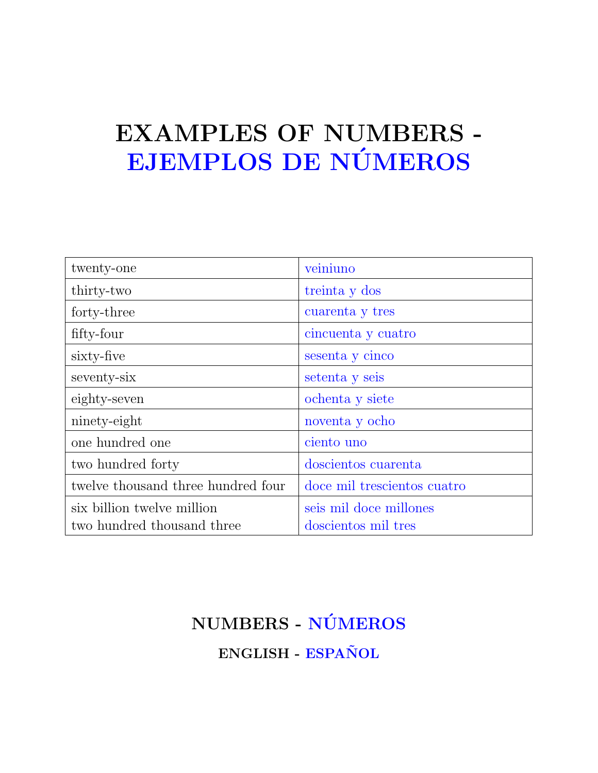## EXAMPLES OF NUMBERS - EJEMPLOS DE NÚMEROS

| twenty-one                         | veiniuno                    |
|------------------------------------|-----------------------------|
| thirty-two                         | treinta y dos               |
| forty-three                        | cuarenta y tres             |
| fifty-four                         | cincuenta y cuatro          |
| sixty-five                         | sesenta y cinco             |
| seventy-six                        | setenta y seis              |
| eighty-seven                       | ochenta y siete             |
| ninety-eight                       | noventa y ocho              |
| one hundred one                    | ciento uno                  |
| two hundred forty                  | doscientos cuarenta         |
| twelve thousand three hundred four | doce mil trescientos cuatro |
| six billion twelve million         | seis mil doce millones      |
| two hundred thousand three         | doscientos mil tres         |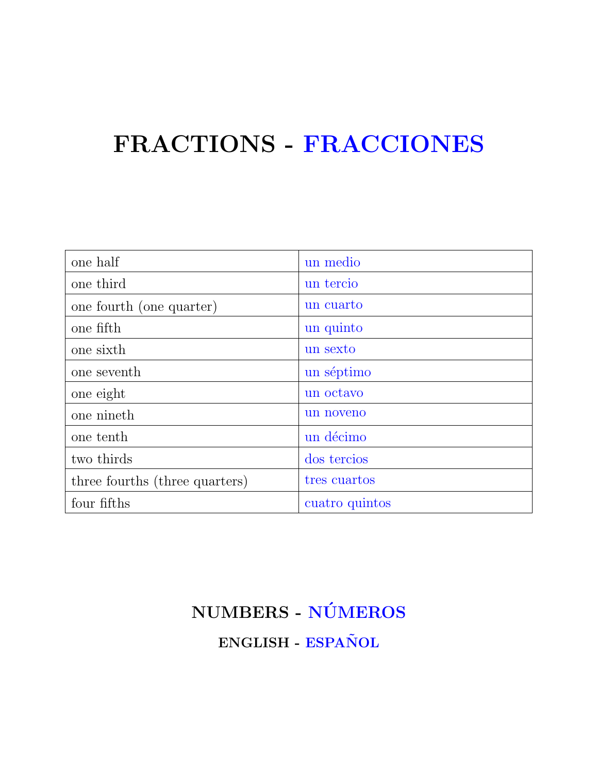### FRACTIONS - FRACCIONES

| one half                       | un medio       |
|--------------------------------|----------------|
| one third                      | un tercio      |
| one fourth (one quarter)       | un cuarto      |
| one fifth                      | un quinto      |
| one sixth                      | un sexto       |
| one seventh                    | un séptimo     |
| one eight                      | un octavo      |
| one nineth                     | un noveno      |
| one tenth                      | un décimo      |
| two thirds                     | dos tercios    |
| three fourths (three quarters) | tres cuartos   |
| four fifths                    | cuatro quintos |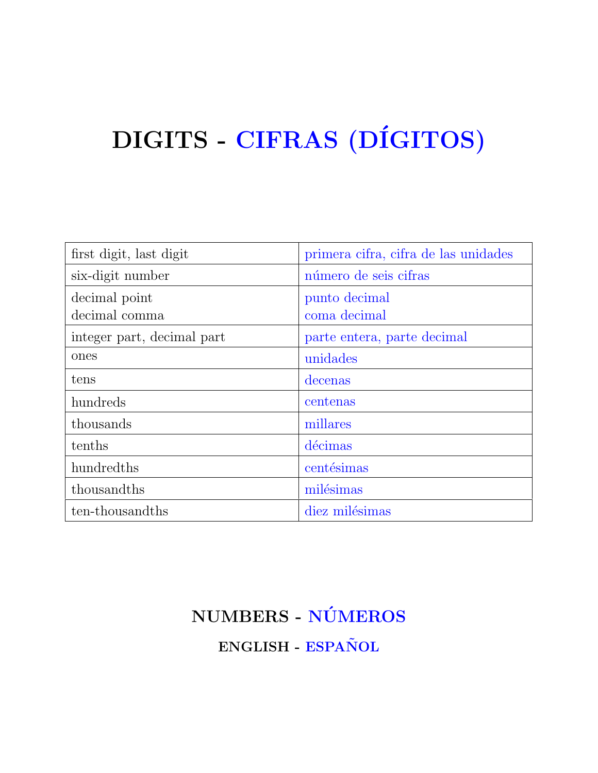# DIGITS - CIFRAS (DÍGITOS)

| first digit, last digit    | primera cifra, cifra de las unidades |
|----------------------------|--------------------------------------|
| six-digit number           | número de seis cifras                |
| decimal point              | punto decimal                        |
| decimal comma              | coma decimal                         |
| integer part, decimal part | parte entera, parte decimal          |
| ones                       | unidades                             |
| tens                       | decenas                              |
| hundreds                   | centenas                             |
| thousands                  | millares                             |
| tenths                     | décimas                              |
| hundredths                 | centésimas                           |
| thousandths                | milésimas                            |
| ten-thousandths            | diez milésimas                       |